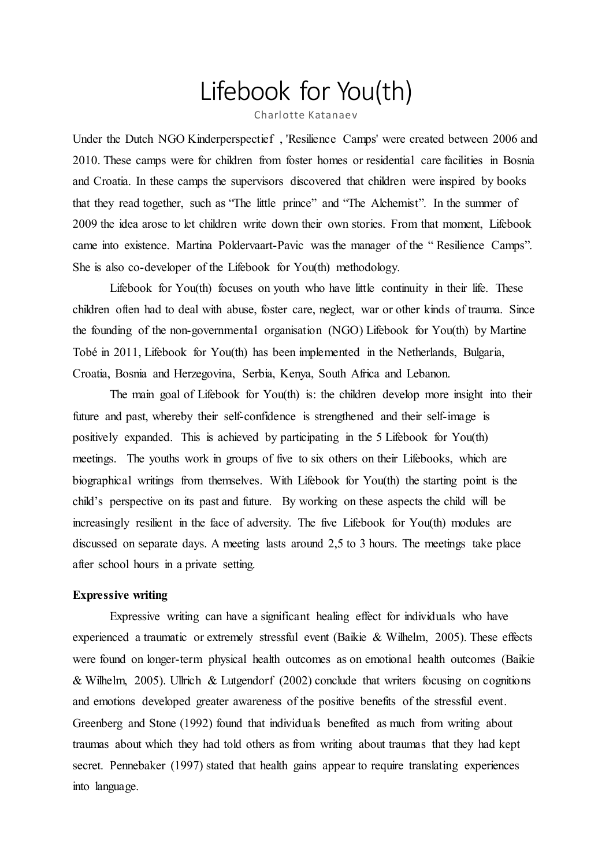# Lifebook for You(th)

Charlotte Katanaev

Under the Dutch NGO Kinderperspectief , 'Resilience Camps' were created between 2006 and 2010. These camps were for children from foster homes or residential care facilities in Bosnia and Croatia. In these camps the supervisors discovered that children were inspired by books that they read together, such as "The little prince" and "The Alchemist". In the summer of 2009 the idea arose to let children write down their own stories. From that moment, Lifebook came into existence. Martina Poldervaart-Pavic was the manager of the " Resilience Camps". She is also co-developer of the Lifebook for You(th) methodology.

Lifebook for You(th) focuses on youth who have little continuity in their life. These children often had to deal with abuse, foster care, neglect, war or other kinds of trauma. Since the founding of the non-governmental organisation (NGO) Lifebook for You(th) by Martine Tobé in 2011, Lifebook for You(th) has been implemented in the Netherlands, Bulgaria, Croatia, Bosnia and Herzegovina, Serbia, Kenya, South Africa and Lebanon.

The main goal of Lifebook for You(th) is: the children develop more insight into their future and past, whereby their self-confidence is strengthened and their self-image is positively expanded. This is achieved by participating in the 5 Lifebook for You(th) meetings. The youths work in groups of five to six others on their Lifebooks, which are biographical writings from themselves. With Lifebook for You(th) the starting point is the child's perspective on its past and future. By working on these aspects the child will be increasingly resilient in the face of adversity. The five Lifebook for You(th) modules are discussed on separate days. A meeting lasts around 2,5 to 3 hours. The meetings take place after school hours in a private setting.

## **Expressive writing**

Expressive writing can have a significant healing effect for individuals who have experienced a traumatic or extremely stressful event (Baikie & Wilhelm, 2005). These effects were found on longer-term physical health outcomes as on emotional health outcomes (Baikie & Wilhelm, 2005). Ullrich & Lutgendorf (2002) conclude that writers focusing on cognitions and emotions developed greater awareness of the positive benefits of the stressful event. Greenberg and Stone (1992) found that individuals benefited as much from writing about traumas about which they had told others as from writing about traumas that they had kept secret. Pennebaker (1997) stated that health gains appear to require translating experiences into language.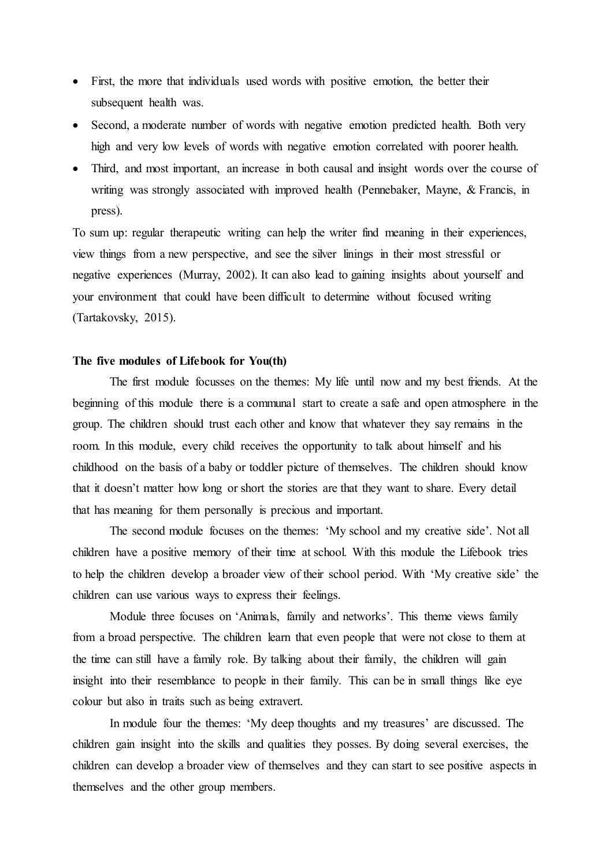- First, the more that individuals used words with positive emotion, the better their subsequent health was.
- Second, a moderate number of words with negative emotion predicted health. Both very high and very low levels of words with negative emotion correlated with poorer health.
- Third, and most important, an increase in both causal and insight words over the course of writing was strongly associated with improved health (Pennebaker, Mayne, & Francis, in press).

To sum up: regular therapeutic writing can help the writer find meaning in their experiences, view things from a new perspective, and see the silver linings in their most stressful or negative experiences (Murray, 2002). It can also lead to gaining insights about yourself and your environment that could have been difficult to determine without focused writing (Tartakovsky, 2015).

## **The five modules of Lifebook for You(th)**

The first module focusses on the themes: My life until now and my best friends. At the beginning of this module there is a communal start to create a safe and open atmosphere in the group. The children should trust each other and know that whatever they say remains in the room. In this module, every child receives the opportunity to talk about himself and his childhood on the basis of a baby or toddler picture of themselves. The children should know that it doesn't matter how long or short the stories are that they want to share. Every detail that has meaning for them personally is precious and important.

The second module focuses on the themes: 'My school and my creative side'. Not all children have a positive memory of their time at school. With this module the Lifebook tries to help the children develop a broader view of their school period. With 'My creative side' the children can use various ways to express their feelings.

Module three focuses on 'Animals, family and networks'. This theme views family from a broad perspective. The children learn that even people that were not close to them at the time can still have a family role. By talking about their family, the children will gain insight into their resemblance to people in their family. This can be in small things like eye colour but also in traits such as being extravert.

In module four the themes: 'My deep thoughts and my treasures' are discussed. The children gain insight into the skills and qualities they posses. By doing several exercises, the children can develop a broader view of themselves and they can start to see positive aspects in themselves and the other group members.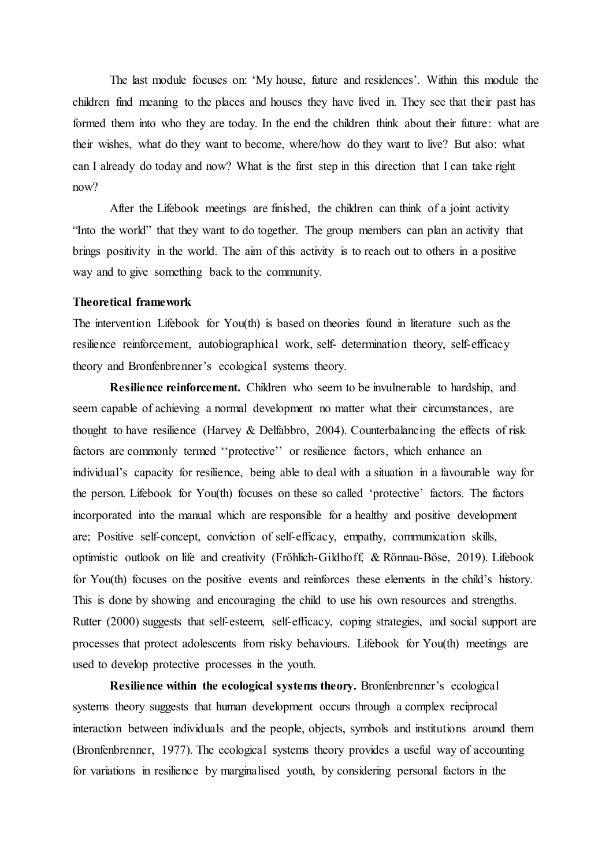The last module focuses on: 'My house, future and residences'. Within this module the children find meaning to the places and houses they have lived in. They see that their past has formed them into who they are today. In the end the children think about their future: what are their wishes, what do they want to become, where/how do they want to live? But also: what can I already do today and now? What is the first step in this direction that I can take right now?

After the Lifebook meetings are finished, the children can think of a joint activity "Into the world" that they want to do together. The group members can plan an activity that brings positivity in the world. The aim of this activity is to reach out to others in a positive way and to give something back to the community.

#### **Theoretical framework**

The intervention Lifebook for You(th) is based on theories found in literature such as the resilience reinforcement, autobiographical work, self- determination theory, self-efficacy theory and Bronfenbrenner's ecological systems theory.

**Resilience reinforcement.** Children who seem to be invulnerable to hardship, and seem capable of achieving a normal development no matter what their circumstances, are thought to have resilience (Harvey & Delfabbro, 2004). Counterbalancing the effects of risk factors are commonly termed ''protective'' or resilience factors, which enhance an individual's capacity for resilience, being able to deal with a situation in a favourable way for the person. Lifebook for You(th) focuses on these so called 'protective' factors. The factors incorporated into the manual which are responsible for a healthy and positive development are; Positive self-concept, conviction of self-efficacy, empathy, communication skills, optimistic outlook on life and creativity (Fröhlich-Gildhoff, & Rönnau-Böse, 2019). Lifebook for You(th) focuses on the positive events and reinforces these elements in the child's history. This is done by showing and encouraging the child to use his own resources and strengths. Rutter (2000) suggests that self-esteem, self-efficacy, coping strategies, and social support are processes that protect adolescents from risky behaviours. Lifebook for You(th) meetings are used to develop protective processes in the youth.

**Resilience within the ecological systems theory.** Bronfenbrenner's ecological systems theory suggests that human development occurs through a complex reciprocal interaction between individuals and the people, objects, symbols and institutions around them (Bronfenbrenner, 1977). The ecological systems theory provides a useful way of accounting for variations in resilience by marginalised youth, by considering personal factors in the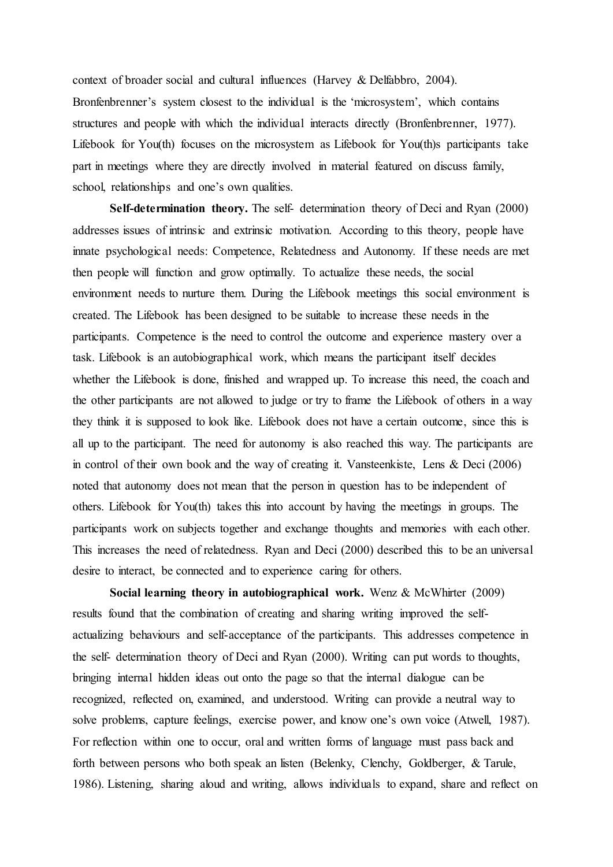context of broader social and cultural influences (Harvey & Delfabbro, 2004). Bronfenbrenner's system closest to the individual is the 'microsystem', which contains structures and people with which the individual interacts directly (Bronfenbrenner, 1977). Lifebook for You(th) focuses on the microsystem as Lifebook for You(th)s participants take part in meetings where they are directly involved in material featured on discuss family, school, relationships and one's own qualities.

**Self-determination theory.** The self- determination theory of Deci and Ryan (2000) addresses issues of intrinsic and extrinsic motivation. According to this theory, people have innate psychological needs: Competence, Relatedness and Autonomy. If these needs are met then people will function and grow optimally. To actualize these needs, the social environment needs to nurture them. During the Lifebook meetings this social environment is created. The Lifebook has been designed to be suitable to increase these needs in the participants. Competence is the need to control the outcome and experience mastery over a task. Lifebook is an autobiographical work, which means the participant itself decides whether the Lifebook is done, finished and wrapped up. To increase this need, the coach and the other participants are not allowed to judge or try to frame the Lifebook of others in a way they think it is supposed to look like. Lifebook does not have a certain outcome, since this is all up to the participant. The need for autonomy is also reached this way. The participants are in control of their own book and the way of creating it. Vansteenkiste, Lens & Deci (2006) noted that autonomy does not mean that the person in question has to be independent of others. Lifebook for You(th) takes this into account by having the meetings in groups. The participants work on subjects together and exchange thoughts and memories with each other. This increases the need of relatedness. Ryan and Deci (2000) described this to be an universal desire to interact, be connected and to experience caring for others.

**Social learning theory in autobiographical work.** Wenz & McWhirter (2009) results found that the combination of creating and sharing writing improved the selfactualizing behaviours and self-acceptance of the participants. This addresses competence in the self- determination theory of Deci and Ryan (2000). Writing can put words to thoughts, bringing internal hidden ideas out onto the page so that the internal dialogue can be recognized, reflected on, examined, and understood. Writing can provide a neutral way to solve problems, capture feelings, exercise power, and know one's own voice (Atwell, 1987). For reflection within one to occur, oral and written forms of language must pass back and forth between persons who both speak an listen (Belenky, Clenchy, Goldberger, & Tarule, 1986). Listening, sharing aloud and writing, allows individuals to expand, share and reflect on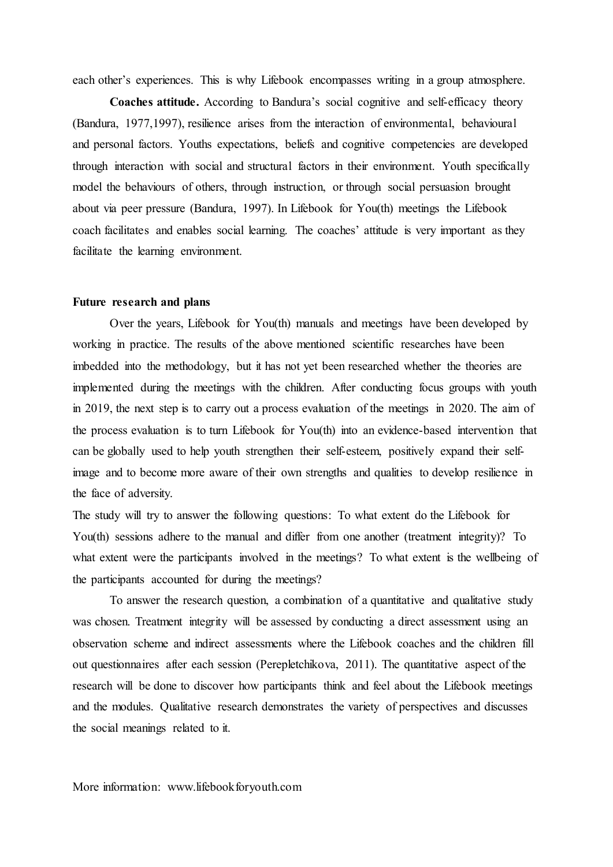each other's experiences. This is why Lifebook encompasses writing in a group atmosphere.

**Coaches attitude.** According to Bandura's social cognitive and self-efficacy theory (Bandura, 1977,1997), resilience arises from the interaction of environmental, behavioural and personal factors. Youths expectations, beliefs and cognitive competencies are developed through interaction with social and structural factors in their environment. Youth specifically model the behaviours of others, through instruction, or through social persuasion brought about via peer pressure (Bandura, 1997). In Lifebook for You(th) meetings the Lifebook coach facilitates and enables social learning. The coaches' attitude is very important as they facilitate the learning environment.

#### **Future research and plans**

Over the years, Lifebook for You(th) manuals and meetings have been developed by working in practice. The results of the above mentioned scientific researches have been imbedded into the methodology, but it has not yet been researched whether the theories are implemented during the meetings with the children. After conducting focus groups with youth in 2019, the next step is to carry out a process evaluation of the meetings in 2020. The aim of the process evaluation is to turn Lifebook for You(th) into an evidence-based intervention that can be globally used to help youth strengthen their self-esteem, positively expand their selfimage and to become more aware of their own strengths and qualities to develop resilience in the face of adversity.

The study will try to answer the following questions: To what extent do the Lifebook for You(th) sessions adhere to the manual and differ from one another (treatment integrity)? To what extent were the participants involved in the meetings? To what extent is the wellbeing of the participants accounted for during the meetings?

To answer the research question, a combination of a quantitative and qualitative study was chosen. Treatment integrity will be assessed by conducting a direct assessment using an observation scheme and indirect assessments where the Lifebook coaches and the children fill out questionnaires after each session (Perepletchikova, 2011). The quantitative aspect of the research will be done to discover how participants think and feel about the Lifebook meetings and the modules. Qualitative research demonstrates the variety of perspectives and discusses the social meanings related to it.

More information: www.lifebookforyouth.com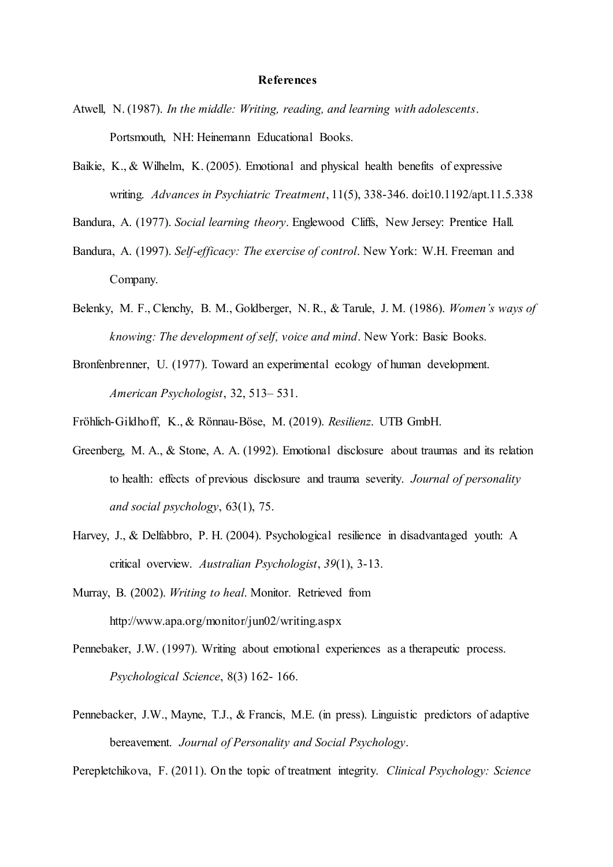#### **References**

- Atwell, N. (1987). *In the middle: Writing, reading, and learning with adolescents*. Portsmouth, NH: Heinemann Educational Books.
- Baikie, K., & Wilhelm, K. (2005). Emotional and physical health benefits of expressive writing. *Advances in Psychiatric Treatment*, 11(5), 338-346. doi:10.1192/apt.11.5.338
- Bandura, A. (1977). *Social learning theory*. Englewood Cliffs, New Jersey: Prentice Hall.
- Bandura, A. (1997). *Self-efficacy: The exercise of control*. New York: W.H. Freeman and Company.
- Belenky, M. F., Clenchy, B. M., Goldberger, N. R., & Tarule, J. M. (1986). *Women's ways of knowing: The development of self, voice and mind*. New York: Basic Books.
- Bronfenbrenner, U. (1977). Toward an experimental ecology of human development. *American Psychologist*, 32, 513– 531.
- Fröhlich-Gildhoff, K., & Rönnau-Böse, M. (2019). *Resilienz*. UTB GmbH.
- Greenberg, M. A., & Stone, A. A. (1992). Emotional disclosure about traumas and its relation to health: effects of previous disclosure and trauma severity. *Journal of personality and social psychology*, 63(1), 75.
- Harvey, J., & Delfabbro, P. H. (2004). Psychological resilience in disadvantaged youth: A critical overview. *Australian Psychologist*, *39*(1), 3-13.
- Murray, B. (2002). *Writing to heal*. Monitor. Retrieved from http://www.apa.org/monitor/jun02/writing.aspx
- Pennebaker, J.W. (1997). Writing about emotional experiences as a therapeutic process. *Psychological Science*, 8(3) 162- 166.
- Pennebacker, J.W., Mayne, T.J., & Francis, M.E. (in press). Linguistic predictors of adaptive bereavement. *Journal of Personality and Social Psychology*.

Perepletchikova, F. (2011). On the topic of treatment integrity. *Clinical Psychology: Science*